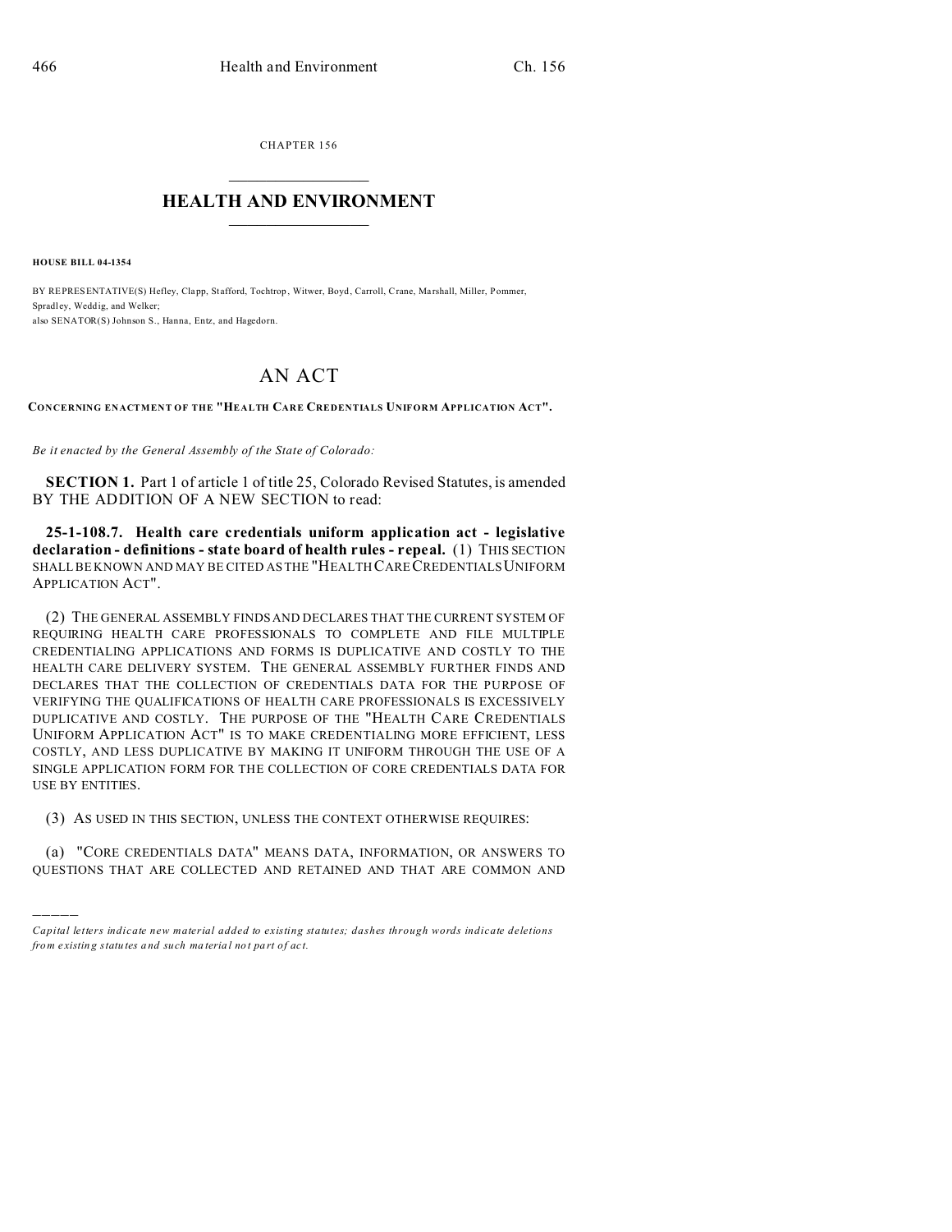CHAPTER 156  $\overline{\phantom{a}}$  , where  $\overline{\phantom{a}}$ 

## **HEALTH AND ENVIRONMENT**  $\_$   $\_$   $\_$   $\_$   $\_$   $\_$   $\_$   $\_$

**HOUSE BILL 04-1354**

)))))

BY REPRESENTATIVE(S) Hefley, Clapp, Stafford, Tochtrop, Witwer, Boyd, Carroll, Crane, Marshall, Miller, Pommer, Spradl ey, Weddig, and Welker; also SENATOR(S) Johnson S., Hanna, Entz, and Hagedorn.

## AN ACT

**CONCERNING ENACTMENT OF THE "HEALTH CARE CREDENTIALS UNIFORM APPLICATION ACT".**

*Be it enacted by the General Assembly of the State of Colorado:*

**SECTION 1.** Part 1 of article 1 of title 25, Colorado Revised Statutes, is amended BY THE ADDITION OF A NEW SECTION to read:

**25-1-108.7. Health care credentials uniform application act - legislative declaration - definitions - state board of health rules - repeal.** (1) THIS SECTION SHALL BE KNOWN AND MAY BE CITED AS THE "HEALTH CARECREDENTIALS UNIFORM APPLICATION ACT".

(2) THE GENERAL ASSEMBLY FINDS AND DECLARES THAT THE CURRENT SYSTEM OF REQUIRING HEALTH CARE PROFESSIONALS TO COMPLETE AND FILE MULTIPLE CREDENTIALING APPLICATIONS AND FORMS IS DUPLICATIVE AND COSTLY TO THE HEALTH CARE DELIVERY SYSTEM. THE GENERAL ASSEMBLY FURTHER FINDS AND DECLARES THAT THE COLLECTION OF CREDENTIALS DATA FOR THE PURPOSE OF VERIFYING THE QUALIFICATIONS OF HEALTH CARE PROFESSIONALS IS EXCESSIVELY DUPLICATIVE AND COSTLY. THE PURPOSE OF THE "HEALTH CARE CREDENTIALS UNIFORM APPLICATION ACT" IS TO MAKE CREDENTIALING MORE EFFICIENT, LESS COSTLY, AND LESS DUPLICATIVE BY MAKING IT UNIFORM THROUGH THE USE OF A SINGLE APPLICATION FORM FOR THE COLLECTION OF CORE CREDENTIALS DATA FOR USE BY ENTITIES.

(3) AS USED IN THIS SECTION, UNLESS THE CONTEXT OTHERWISE REQUIRES:

(a) "CORE CREDENTIALS DATA" MEANS DATA, INFORMATION, OR ANSWERS TO QUESTIONS THAT ARE COLLECTED AND RETAINED AND THAT ARE COMMON AND

*Capital letters indicate new material added to existing statutes; dashes through words indicate deletions from e xistin g statu tes a nd such ma teria l no t pa rt of ac t.*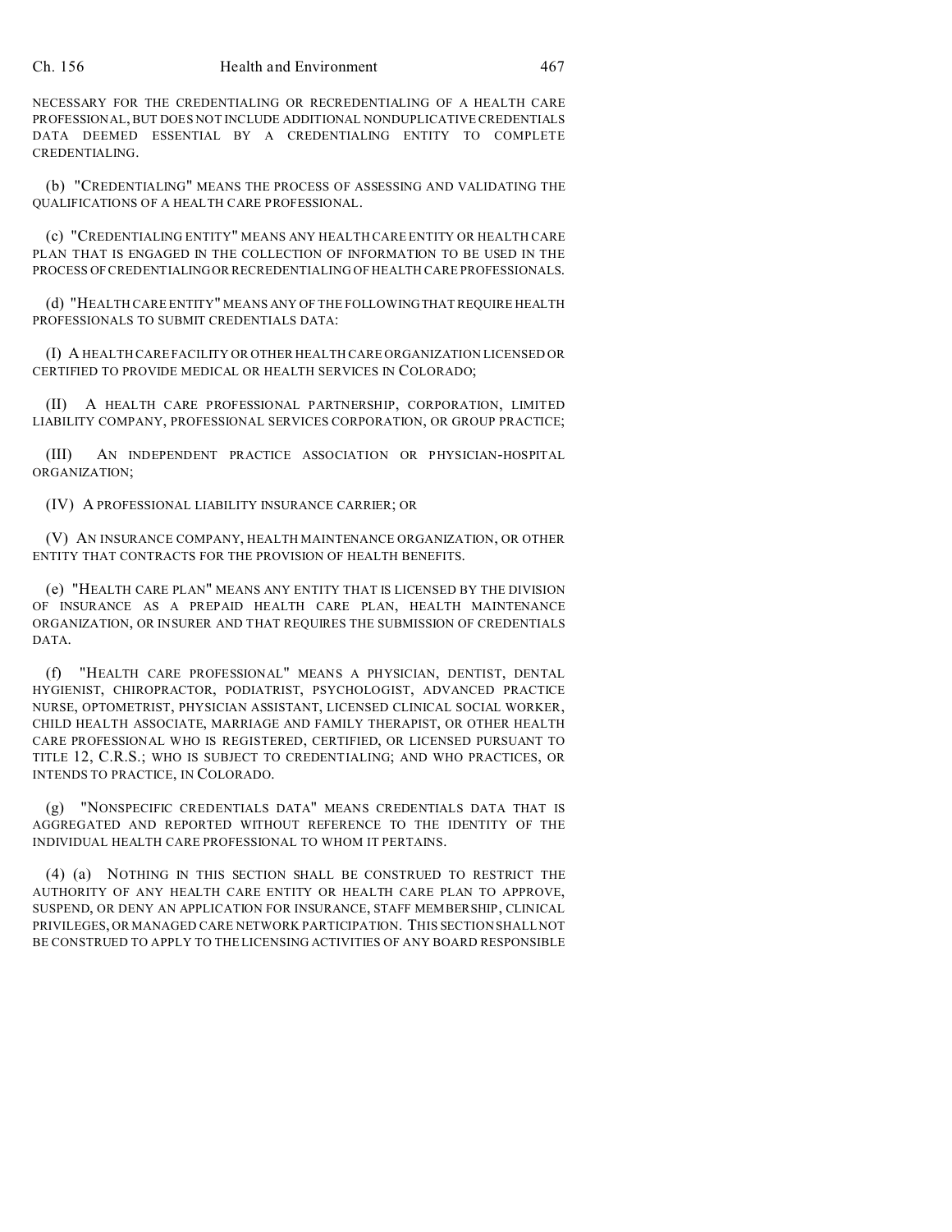NECESSARY FOR THE CREDENTIALING OR RECREDENTIALING OF A HEALTH CARE PROFESSIONAL, BUT DOES NOT INCLUDE ADDITIONAL NONDUPLICATIVE CREDENTIALS DATA DEEMED ESSENTIAL BY A CREDENTIALING ENTITY TO COMPLETE CREDENTIALING.

(b) "CREDENTIALING" MEANS THE PROCESS OF ASSESSING AND VALIDATING THE QUALIFICATIONS OF A HEALTH CARE PROFESSIONAL.

(c) "CREDENTIALING ENTITY" MEANS ANY HEALTH CARE ENTITY OR HEALTH CARE PLAN THAT IS ENGAGED IN THE COLLECTION OF INFORMATION TO BE USED IN THE PROCESS OF CREDENTIALING OR RECREDENTIALING OF HEALTH CARE PROFESSIONALS.

(d) "HEALTH CARE ENTITY" MEANS ANY OF THE FOLLOWINGTHAT REQUIRE HEALTH PROFESSIONALS TO SUBMIT CREDENTIALS DATA:

(I) A HEALTH CARE FACILITY OR OTHER HEALTH CARE ORGANIZATION LICENSED OR CERTIFIED TO PROVIDE MEDICAL OR HEALTH SERVICES IN COLORADO;

(II) A HEALTH CARE PROFESSIONAL PARTNERSHIP, CORPORATION, LIMITED LIABILITY COMPANY, PROFESSIONAL SERVICES CORPORATION, OR GROUP PRACTICE;

(III) AN INDEPENDENT PRACTICE ASSOCIATION OR PHYSICIAN-HOSPITAL ORGANIZATION;

(IV) A PROFESSIONAL LIABILITY INSURANCE CARRIER; OR

(V) AN INSURANCE COMPANY, HEALTH MAINTENANCE ORGANIZATION, OR OTHER ENTITY THAT CONTRACTS FOR THE PROVISION OF HEALTH BENEFITS.

(e) "HEALTH CARE PLAN" MEANS ANY ENTITY THAT IS LICENSED BY THE DIVISION OF INSURANCE AS A PREPAID HEALTH CARE PLAN, HEALTH MAINTENANCE ORGANIZATION, OR INSURER AND THAT REQUIRES THE SUBMISSION OF CREDENTIALS DATA.

(f) "HEALTH CARE PROFESSIONAL" MEANS A PHYSICIAN, DENTIST, DENTAL HYGIENIST, CHIROPRACTOR, PODIATRIST, PSYCHOLOGIST, ADVANCED PRACTICE NURSE, OPTOMETRIST, PHYSICIAN ASSISTANT, LICENSED CLINICAL SOCIAL WORKER, CHILD HEALTH ASSOCIATE, MARRIAGE AND FAMILY THERAPIST, OR OTHER HEALTH CARE PROFESSIONAL WHO IS REGISTERED, CERTIFIED, OR LICENSED PURSUANT TO TITLE 12, C.R.S.; WHO IS SUBJECT TO CREDENTIALING; AND WHO PRACTICES, OR INTENDS TO PRACTICE, IN COLORADO.

(g) "NONSPECIFIC CREDENTIALS DATA" MEANS CREDENTIALS DATA THAT IS AGGREGATED AND REPORTED WITHOUT REFERENCE TO THE IDENTITY OF THE INDIVIDUAL HEALTH CARE PROFESSIONAL TO WHOM IT PERTAINS.

(4) (a) NOTHING IN THIS SECTION SHALL BE CONSTRUED TO RESTRICT THE AUTHORITY OF ANY HEALTH CARE ENTITY OR HEALTH CARE PLAN TO APPROVE, SUSPEND, OR DENY AN APPLICATION FOR INSURANCE, STAFF MEMBERSHIP, CLINICAL PRIVILEGES, OR MANAGED CARE NETWORK PARTICIPATION. THIS SECTION SHALL NOT BE CONSTRUED TO APPLY TO THE LICENSING ACTIVITIES OF ANY BOARD RESPONSIBLE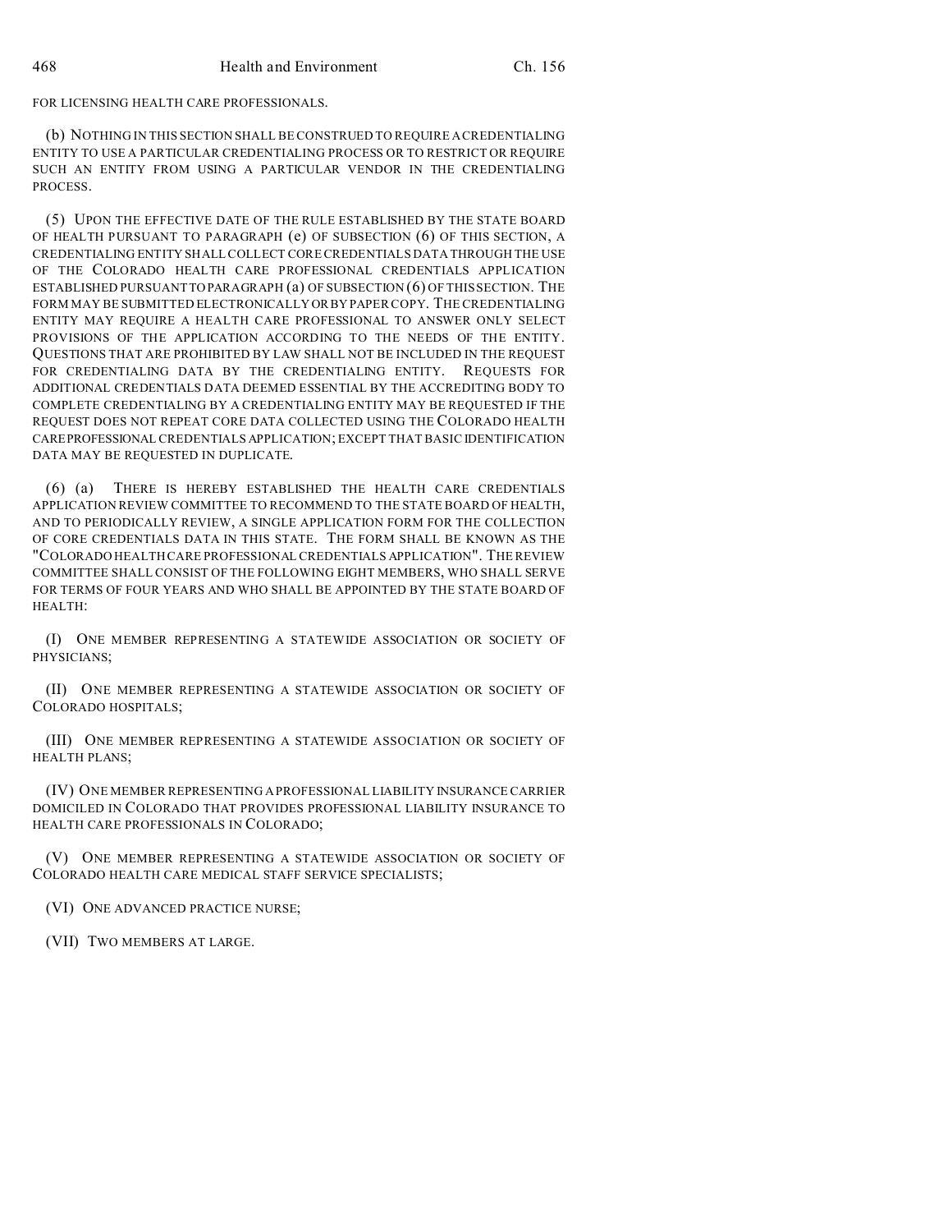## FOR LICENSING HEALTH CARE PROFESSIONALS.

(b) NOTHING IN THIS SECTION SHALL BE CONSTRUED TO REQUIRE A CREDENTIALING ENTITY TO USE A PARTICULAR CREDENTIALING PROCESS OR TO RESTRICT OR REQUIRE SUCH AN ENTITY FROM USING A PARTICULAR VENDOR IN THE CREDENTIALING PROCESS.

(5) UPON THE EFFECTIVE DATE OF THE RULE ESTABLISHED BY THE STATE BOARD OF HEALTH PURSUANT TO PARAGRAPH (e) OF SUBSECTION (6) OF THIS SECTION, A CREDENTIALING ENTITY SHALL COLLECT CORE CREDENTIALS DATA THROUGH THE USE OF THE COLORADO HEALTH CARE PROFESSIONAL CREDENTIALS APPLICATION ESTABLISHED PURSUANT TO PARAGRAPH (a) OF SUBSECTION (6) OF THIS SECTION. THE FORM MAY BE SUBMITTED ELECTRONICALLY ORBY PAPER COPY. THE CREDENTIALING ENTITY MAY REQUIRE A HEALTH CARE PROFESSIONAL TO ANSWER ONLY SELECT PROVISIONS OF THE APPLICATION ACCORDING TO THE NEEDS OF THE ENTITY. QUESTIONS THAT ARE PROHIBITED BY LAW SHALL NOT BE INCLUDED IN THE REQUEST FOR CREDENTIALING DATA BY THE CREDENTIALING ENTITY. REQUESTS FOR ADDITIONAL CREDENTIALS DATA DEEMED ESSENTIAL BY THE ACCREDITING BODY TO COMPLETE CREDENTIALING BY A CREDENTIALING ENTITY MAY BE REQUESTED IF THE REQUEST DOES NOT REPEAT CORE DATA COLLECTED USING THE COLORADO HEALTH CAREPROFESSIONAL CREDENTIALS APPLICATION; EXCEPT THAT BASIC IDENTIFICATION DATA MAY BE REQUESTED IN DUPLICATE.

(6) (a) THERE IS HEREBY ESTABLISHED THE HEALTH CARE CREDENTIALS APPLICATION REVIEW COMMITTEE TO RECOMMEND TO THE STATE BOARD OF HEALTH, AND TO PERIODICALLY REVIEW, A SINGLE APPLICATION FORM FOR THE COLLECTION OF CORE CREDENTIALS DATA IN THIS STATE. THE FORM SHALL BE KNOWN AS THE "COLORADO HEALTH CARE PROFESSIONAL CREDENTIALS APPLICATION". THE REVIEW COMMITTEE SHALL CONSIST OF THE FOLLOWING EIGHT MEMBERS, WHO SHALL SERVE FOR TERMS OF FOUR YEARS AND WHO SHALL BE APPOINTED BY THE STATE BOARD OF HEALTH:

(I) ONE MEMBER REPRESENTING A STATEWIDE ASSOCIATION OR SOCIETY OF PHYSICIANS;

(II) ONE MEMBER REPRESENTING A STATEWIDE ASSOCIATION OR SOCIETY OF COLORADO HOSPITALS;

(III) ONE MEMBER REPRESENTING A STATEWIDE ASSOCIATION OR SOCIETY OF HEALTH PLANS;

(IV) ONE MEMBER REPRESENTING A PROFESSIONAL LIABILITY INSURANCE CARRIER DOMICILED IN COLORADO THAT PROVIDES PROFESSIONAL LIABILITY INSURANCE TO HEALTH CARE PROFESSIONALS IN COLORADO;

(V) ONE MEMBER REPRESENTING A STATEWIDE ASSOCIATION OR SOCIETY OF COLORADO HEALTH CARE MEDICAL STAFF SERVICE SPECIALISTS;

(VI) ONE ADVANCED PRACTICE NURSE;

(VII) TWO MEMBERS AT LARGE.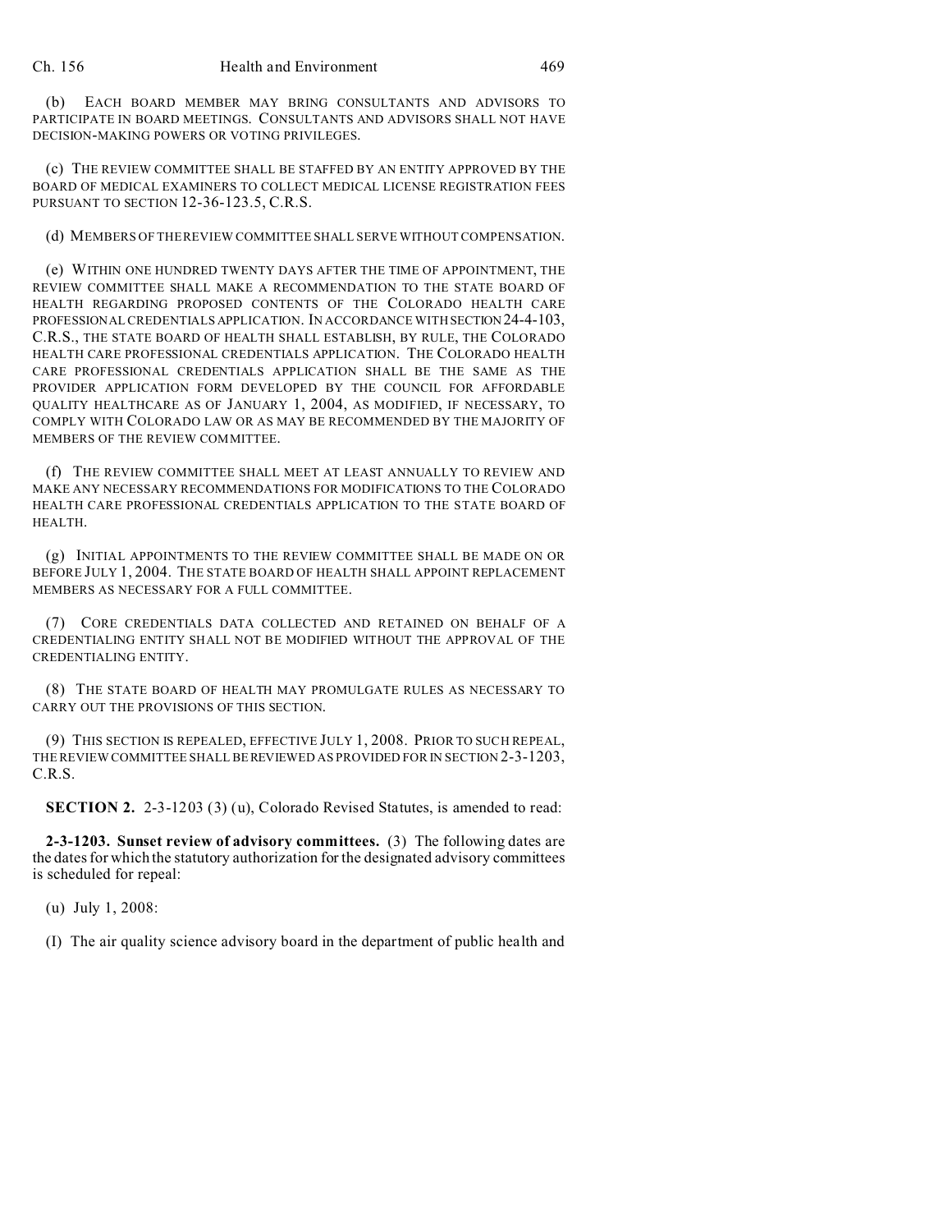(b) EACH BOARD MEMBER MAY BRING CONSULTANTS AND ADVISORS TO PARTICIPATE IN BOARD MEETINGS. CONSULTANTS AND ADVISORS SHALL NOT HAVE DECISION-MAKING POWERS OR VOTING PRIVILEGES.

(c) THE REVIEW COMMITTEE SHALL BE STAFFED BY AN ENTITY APPROVED BY THE BOARD OF MEDICAL EXAMINERS TO COLLECT MEDICAL LICENSE REGISTRATION FEES PURSUANT TO SECTION 12-36-123.5, C.R.S.

(d) MEMBERS OF THE REVIEW COMMITTEE SHALL SERVE WITHOUT COMPENSATION.

(e) WITHIN ONE HUNDRED TWENTY DAYS AFTER THE TIME OF APPOINTMENT, THE REVIEW COMMITTEE SHALL MAKE A RECOMMENDATION TO THE STATE BOARD OF HEALTH REGARDING PROPOSED CONTENTS OF THE COLORADO HEALTH CARE PROFESSIONAL CREDENTIALS APPLICATION. IN ACCORDANCE WITH SECTION 24-4-103, C.R.S., THE STATE BOARD OF HEALTH SHALL ESTABLISH, BY RULE, THE COLORADO HEALTH CARE PROFESSIONAL CREDENTIALS APPLICATION. THE COLORADO HEALTH CARE PROFESSIONAL CREDENTIALS APPLICATION SHALL BE THE SAME AS THE PROVIDER APPLICATION FORM DEVELOPED BY THE COUNCIL FOR AFFORDABLE QUALITY HEALTHCARE AS OF JANUARY 1, 2004, AS MODIFIED, IF NECESSARY, TO COMPLY WITH COLORADO LAW OR AS MAY BE RECOMMENDED BY THE MAJORITY OF MEMBERS OF THE REVIEW COMMITTEE.

(f) THE REVIEW COMMITTEE SHALL MEET AT LEAST ANNUALLY TO REVIEW AND MAKE ANY NECESSARY RECOMMENDATIONS FOR MODIFICATIONS TO THE COLORADO HEALTH CARE PROFESSIONAL CREDENTIALS APPLICATION TO THE STATE BOARD OF HEALTH.

(g) INITIAL APPOINTMENTS TO THE REVIEW COMMITTEE SHALL BE MADE ON OR BEFORE JULY 1, 2004. THE STATE BOARD OF HEALTH SHALL APPOINT REPLACEMENT MEMBERS AS NECESSARY FOR A FULL COMMITTEE.

(7) CORE CREDENTIALS DATA COLLECTED AND RETAINED ON BEHALF OF A CREDENTIALING ENTITY SHALL NOT BE MODIFIED WITHOUT THE APPROVAL OF THE CREDENTIALING ENTITY.

(8) THE STATE BOARD OF HEALTH MAY PROMULGATE RULES AS NECESSARY TO CARRY OUT THE PROVISIONS OF THIS SECTION.

(9) THIS SECTION IS REPEALED, EFFECTIVE JULY 1, 2008. PRIOR TO SUCH REPEAL, THE REVIEW COMMITTEE SHALL BEREVIEWED AS PROVIDED FOR IN SECTION 2-3-1203, C.R.S.

**SECTION 2.** 2-3-1203 (3) (u), Colorado Revised Statutes, is amended to read:

**2-3-1203. Sunset review of advisory committees.** (3) The following dates are the dates for which the statutory authorization for the designated advisory committees is scheduled for repeal:

(u) July 1, 2008:

(I) The air quality science advisory board in the department of public health and